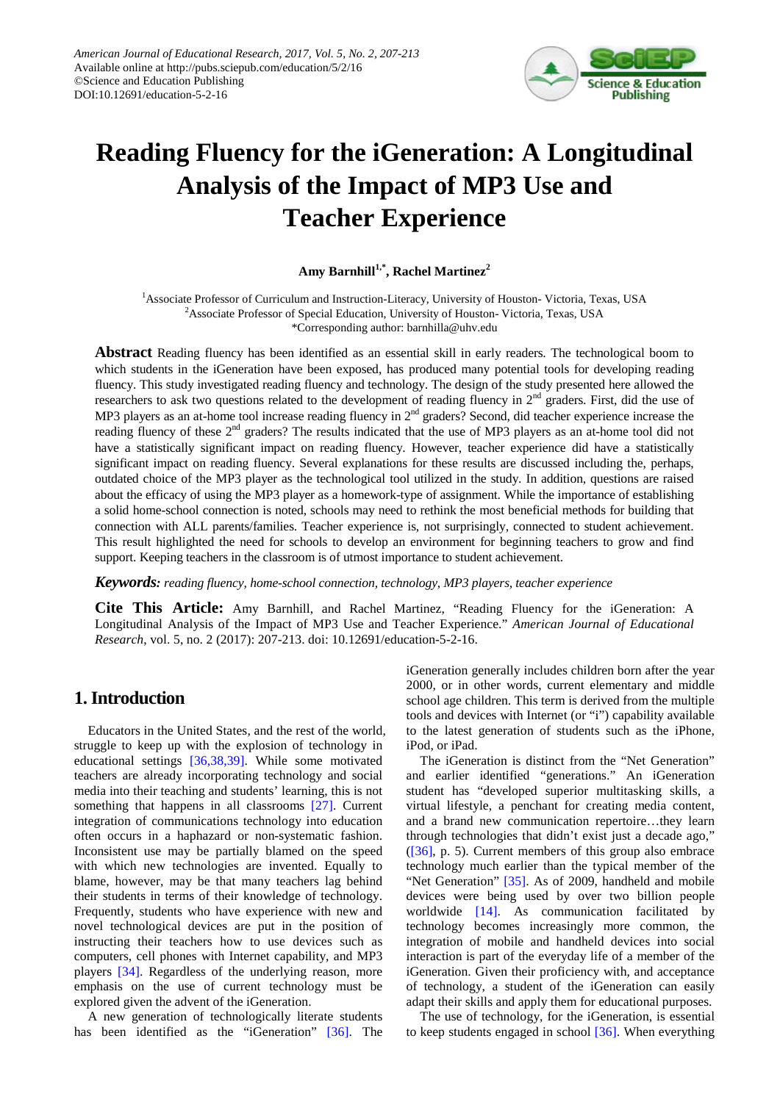

# **Reading Fluency for the iGeneration: A Longitudinal Analysis of the Impact of MP3 Use and Teacher Experience**

### **Amy Barnhill1,\*, Rachel Martinez<sup>2</sup>**

<sup>1</sup> Associate Professor of Curriculum and Instruction-Literacy, University of Houston- Victoria, Texas, USA <sup>2</sup> Associate Professor of Special Education, University of Houston- Victoria, Texas, USA \*Corresponding author: barnhilla@uhv.edu

**Abstract** Reading fluency has been identified as an essential skill in early readers. The technological boom to which students in the iGeneration have been exposed, has produced many potential tools for developing reading fluency. This study investigated reading fluency and technology. The design of the study presented here allowed the researchers to ask two questions related to the development of reading fluency in  $2<sup>nd</sup>$  graders. First, did the use of MP3 players as an at-home tool increase reading fluency in 2<sup>nd</sup> graders? Second, did teacher experience increase the reading fluency of these 2<sup>nd</sup> graders? The results indicated that the use of MP3 players as an at-home tool did not have a statistically significant impact on reading fluency. However, teacher experience did have a statistically significant impact on reading fluency. Several explanations for these results are discussed including the, perhaps, outdated choice of the MP3 player as the technological tool utilized in the study. In addition, questions are raised about the efficacy of using the MP3 player as a homework-type of assignment. While the importance of establishing a solid home-school connection is noted, schools may need to rethink the most beneficial methods for building that connection with ALL parents/families. Teacher experience is, not surprisingly, connected to student achievement. This result highlighted the need for schools to develop an environment for beginning teachers to grow and find support. Keeping teachers in the classroom is of utmost importance to student achievement.

*Keywords: reading fluency, home-school connection, technology, MP3 players, teacher experience*

**Cite This Article:** Amy Barnhill, and Rachel Martinez, "Reading Fluency for the iGeneration: A Longitudinal Analysis of the Impact of MP3 Use and Teacher Experience." *American Journal of Educational Research*, vol. 5, no. 2 (2017): 207-213. doi: 10.12691/education-5-2-16.

## **1. Introduction**

Educators in the United States, and the rest of the world, struggle to keep up with the explosion of technology in educational settings [\[36,38,39\].](#page-6-0) While some motivated teachers are already incorporating technology and social media into their teaching and students' learning, this is not something that happens in all classrooms [\[27\].](#page-5-0) Current integration of communications technology into education often occurs in a haphazard or non-systematic fashion. Inconsistent use may be partially blamed on the speed with which new technologies are invented. Equally to blame, however, may be that many teachers lag behind their students in terms of their knowledge of technology. Frequently, students who have experience with new and novel technological devices are put in the position of instructing their teachers how to use devices such as computers, cell phones with Internet capability, and MP3 players [\[34\].](#page-6-1) Regardless of the underlying reason, more emphasis on the use of current technology must be explored given the advent of the iGeneration.

A new generation of technologically literate students has been identified as the "iGeneration" [\[36\].](#page-6-0) The

iGeneration generally includes children born after the year 2000, or in other words, current elementary and middle school age children. This term is derived from the multiple tools and devices with Internet (or "i") capability available to the latest generation of students such as the iPhone, iPod, or iPad.

The iGeneration is distinct from the "Net Generation" and earlier identified "generations." An iGeneration student has "developed superior multitasking skills, a virtual lifestyle, a penchant for creating media content, and a brand new communication repertoire…they learn through technologies that didn't exist just a decade ago," [\(\[36\],](#page-6-0) p. 5). Current members of this group also embrace technology much earlier than the typical member of the "Net Generation" [\[35\].](#page-6-2) As of 2009, handheld and mobile devices were being used by over two billion people worldwide [\[14\].](#page-5-1) As communication facilitated by technology becomes increasingly more common, the integration of mobile and handheld devices into social interaction is part of the everyday life of a member of the iGeneration. Given their proficiency with, and acceptance of technology, a student of the iGeneration can easily adapt their skills and apply them for educational purposes.

The use of technology, for the iGeneration, is essential to keep students engaged in school  $[36]$ . When everything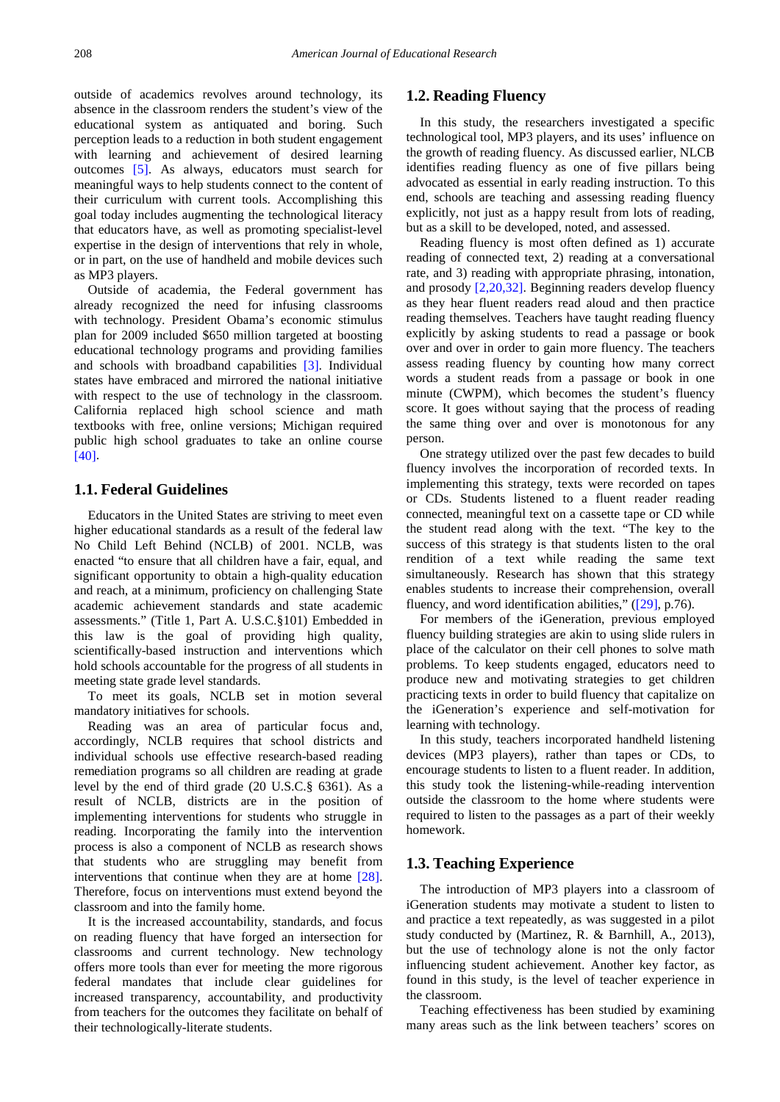outside of academics revolves around technology, its absence in the classroom renders the student's view of the educational system as antiquated and boring. Such perception leads to a reduction in both student engagement with learning and achievement of desired learning outcomes [\[5\].](#page-5-2) As always, educators must search for meaningful ways to help students connect to the content of their curriculum with current tools. Accomplishing this goal today includes augmenting the technological literacy that educators have, as well as promoting specialist-level expertise in the design of interventions that rely in whole, or in part, on the use of handheld and mobile devices such as MP3 players.

Outside of academia, the Federal government has already recognized the need for infusing classrooms with technology. President Obama's economic stimulus plan for 2009 included \$650 million targeted at boosting educational technology programs and providing families and schools with broadband capabilities [\[3\].](#page-5-3) Individual states have embraced and mirrored the national initiative with respect to the use of technology in the classroom. California replaced high school science and math textbooks with free, online versions; Michigan required public high school graduates to take an online course [\[40\].](#page-6-3)

#### **1.1. Federal Guidelines**

Educators in the United States are striving to meet even higher educational standards as a result of the federal law No Child Left Behind (NCLB) of 2001. NCLB*,* was enacted "to ensure that all children have a fair, equal, and significant opportunity to obtain a high-quality education and reach, at a minimum, proficiency on challenging State academic achievement standards and state academic assessments." (Title 1, Part A. U.S.C.§101) Embedded in this law is the goal of providing high quality, scientifically-based instruction and interventions which hold schools accountable for the progress of all students in meeting state grade level standards.

To meet its goals, NCLB set in motion several mandatory initiatives for schools.

Reading was an area of particular focus and, accordingly, NCLB requires that school districts and individual schools use effective research-based reading remediation programs so all children are reading at grade level by the end of third grade (20 U.S.C.§ 6361). As a result of NCLB, districts are in the position of implementing interventions for students who struggle in reading. Incorporating the family into the intervention process is also a component of NCLB as research shows that students who are struggling may benefit from interventions that continue when they are at home [\[28\].](#page-5-4) Therefore, focus on interventions must extend beyond the classroom and into the family home.

It is the increased accountability, standards, and focus on reading fluency that have forged an intersection for classrooms and current technology. New technology offers more tools than ever for meeting the more rigorous federal mandates that include clear guidelines for increased transparency, accountability, and productivity from teachers for the outcomes they facilitate on behalf of their technologically-literate students.

#### **1.2. Reading Fluency**

In this study, the researchers investigated a specific technological tool, MP3 players, and its uses' influence on the growth of reading fluency. As discussed earlier, NLCB identifies reading fluency as one of five pillars being advocated as essential in early reading instruction. To this end, schools are teaching and assessing reading fluency explicitly, not just as a happy result from lots of reading, but as a skill to be developed, noted, and assessed.

Reading fluency is most often defined as 1) accurate reading of connected text, 2) reading at a conversational rate, and 3) reading with appropriate phrasing, intonation, and prosody [\[2,20,32\].](#page-5-5) Beginning readers develop fluency as they hear fluent readers read aloud and then practice reading themselves. Teachers have taught reading fluency explicitly by asking students to read a passage or book over and over in order to gain more fluency. The teachers assess reading fluency by counting how many correct words a student reads from a passage or book in one minute (CWPM), which becomes the student's fluency score. It goes without saying that the process of reading the same thing over and over is monotonous for any person.

One strategy utilized over the past few decades to build fluency involves the incorporation of recorded texts. In implementing this strategy, texts were recorded on tapes or CDs. Students listened to a fluent reader reading connected, meaningful text on a cassette tape or CD while the student read along with the text. "The key to the success of this strategy is that students listen to the oral rendition of a text while reading the same text simultaneously. Research has shown that this strategy enables students to increase their comprehension, overall fluency, and word identification abilities," [\(\[29\],](#page-5-6) p.76).

For members of the iGeneration, previous employed fluency building strategies are akin to using slide rulers in place of the calculator on their cell phones to solve math problems. To keep students engaged, educators need to produce new and motivating strategies to get children practicing texts in order to build fluency that capitalize on the iGeneration's experience and self-motivation for learning with technology.

In this study, teachers incorporated handheld listening devices (MP3 players), rather than tapes or CDs, to encourage students to listen to a fluent reader. In addition, this study took the listening-while-reading intervention outside the classroom to the home where students were required to listen to the passages as a part of their weekly homework.

#### **1.3. Teaching Experience**

The introduction of MP3 players into a classroom of iGeneration students may motivate a student to listen to and practice a text repeatedly, as was suggested in a pilot study conducted by (Martinez, R. & Barnhill, A., 2013), but the use of technology alone is not the only factor influencing student achievement. Another key factor, as found in this study, is the level of teacher experience in the classroom.

Teaching effectiveness has been studied by examining many areas such as the link between teachers' scores on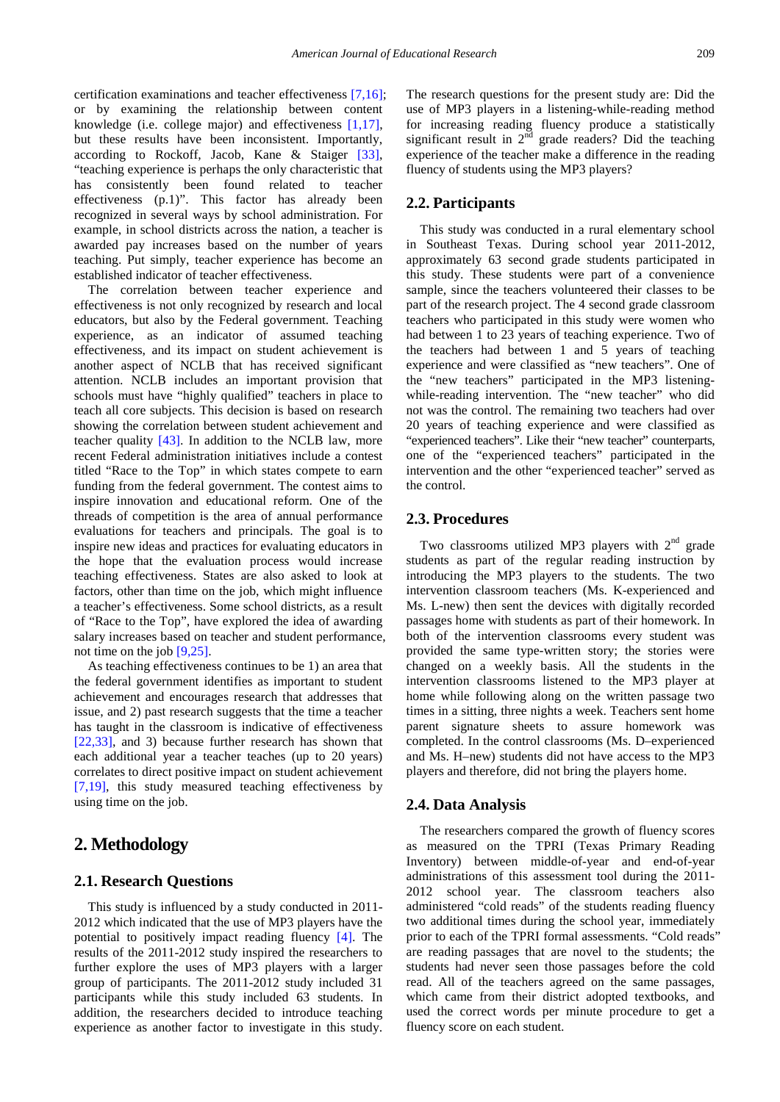certification examinations and teacher effectiveness [\[7,16\];](#page-5-7) or by examining the relationship between content knowledge (i.e. college major) and effectiveness [\[1,17\],](#page-5-8) but these results have been inconsistent. Importantly, according to Rockoff, Jacob, Kane & Staiger [\[33\],](#page-6-4) "teaching experience is perhaps the only characteristic that has consistently been found related to teacher effectiveness (p.1)". This factor has already been recognized in several ways by school administration. For example, in school districts across the nation, a teacher is awarded pay increases based on the number of years teaching. Put simply, teacher experience has become an established indicator of teacher effectiveness.

The correlation between teacher experience and effectiveness is not only recognized by research and local educators, but also by the Federal government. Teaching experience, as an indicator of assumed teaching effectiveness, and its impact on student achievement is another aspect of NCLB that has received significant attention. NCLB includes an important provision that schools must have "highly qualified" teachers in place to teach all core subjects. This decision is based on research showing the correlation between student achievement and teacher quality [\[43\].](#page-6-5) In addition to the NCLB law, more recent Federal administration initiatives include a contest titled "Race to the Top" in which states compete to earn funding from the federal government. The contest aims to inspire innovation and educational reform. One of the threads of competition is the area of annual performance evaluations for teachers and principals. The goal is to inspire new ideas and practices for evaluating educators in the hope that the evaluation process would increase teaching effectiveness. States are also asked to look at factors, other than time on the job, which might influence a teacher's effectiveness. Some school districts, as a result of "Race to the Top", have explored the idea of awarding salary increases based on teacher and student performance, not time on the jo[b \[9,25\].](#page-5-9)

As teaching effectiveness continues to be 1) an area that the federal government identifies as important to student achievement and encourages research that addresses that issue, and 2) past research suggests that the time a teacher has taught in the classroom is indicative of effectiveness [\[22,33\],](#page-5-10) and 3) because further research has shown that each additional year a teacher teaches (up to 20 years) correlates to direct positive impact on student achievement [\[7,19\],](#page-5-7) this study measured teaching effectiveness by using time on the job.

## **2. Methodology**

#### **2.1. Research Questions**

This study is influenced by a study conducted in 2011- 2012 which indicated that the use of MP3 players have the potential to positively impact reading fluency [\[4\].](#page-5-11) The results of the 2011-2012 study inspired the researchers to further explore the uses of MP3 players with a larger group of participants. The 2011-2012 study included 31 participants while this study included 63 students. In addition, the researchers decided to introduce teaching experience as another factor to investigate in this study. The research questions for the present study are: Did the use of MP3 players in a listening-while-reading method for increasing reading fluency produce a statistically significant result in  $2^{\overline{nd}}$  grade readers? Did the teaching experience of the teacher make a difference in the reading fluency of students using the MP3 players?

#### **2.2. Participants**

This study was conducted in a rural elementary school in Southeast Texas. During school year 2011-2012, approximately 63 second grade students participated in this study. These students were part of a convenience sample, since the teachers volunteered their classes to be part of the research project. The 4 second grade classroom teachers who participated in this study were women who had between 1 to 23 years of teaching experience. Two of the teachers had between 1 and 5 years of teaching experience and were classified as "new teachers". One of the "new teachers" participated in the MP3 listeningwhile-reading intervention. The "new teacher" who did not was the control. The remaining two teachers had over 20 years of teaching experience and were classified as "experienced teachers". Like their "new teacher" counterparts, one of the "experienced teachers" participated in the intervention and the other "experienced teacher" served as the control.

#### **2.3. Procedures**

Two classrooms utilized MP3 players with  $2<sup>nd</sup>$  grade students as part of the regular reading instruction by introducing the MP3 players to the students. The two intervention classroom teachers (Ms. K-experienced and Ms. L-new) then sent the devices with digitally recorded passages home with students as part of their homework. In both of the intervention classrooms every student was provided the same type-written story; the stories were changed on a weekly basis. All the students in the intervention classrooms listened to the MP3 player at home while following along on the written passage two times in a sitting, three nights a week. Teachers sent home parent signature sheets to assure homework was completed. In the control classrooms (Ms. D–experienced and Ms. H–new) students did not have access to the MP3 players and therefore, did not bring the players home.

#### **2.4. Data Analysis**

The researchers compared the growth of fluency scores as measured on the TPRI (Texas Primary Reading Inventory) between middle-of-year and end-of-year administrations of this assessment tool during the 2011- 2012 school year. The classroom teachers also administered "cold reads" of the students reading fluency two additional times during the school year, immediately prior to each of the TPRI formal assessments. "Cold reads" are reading passages that are novel to the students; the students had never seen those passages before the cold read. All of the teachers agreed on the same passages, which came from their district adopted textbooks, and used the correct words per minute procedure to get a fluency score on each student.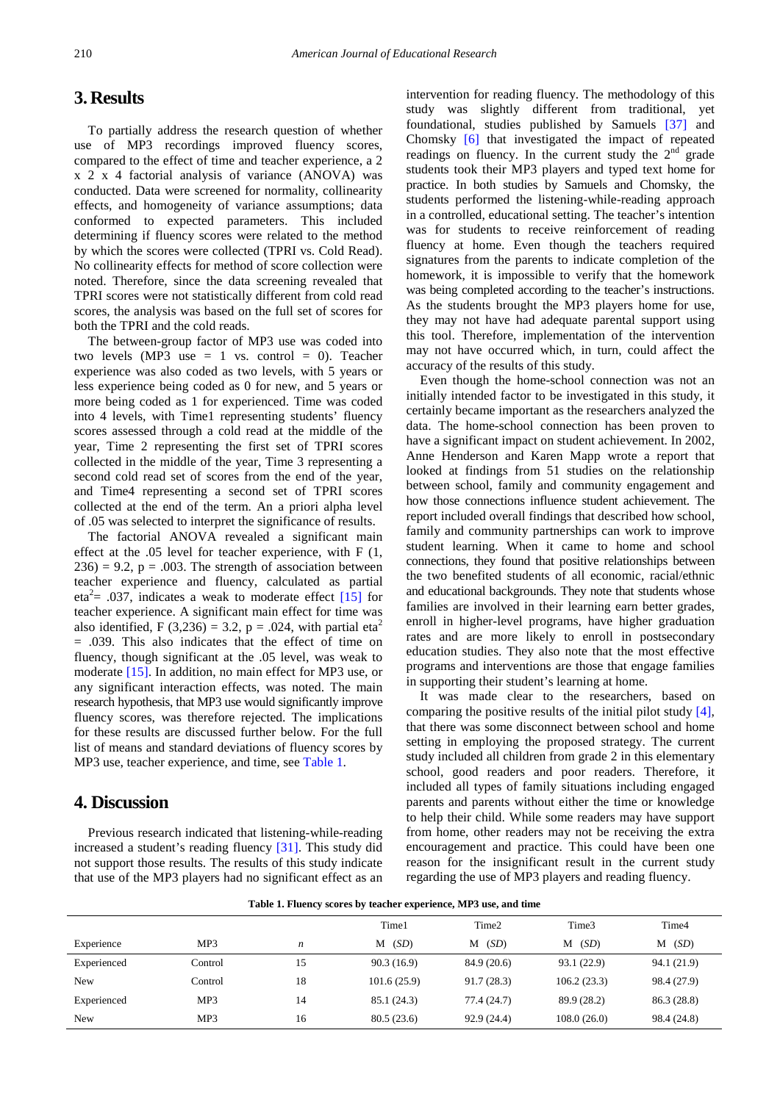## **3. Results**

To partially address the research question of whether use of MP3 recordings improved fluency scores, compared to the effect of time and teacher experience, a 2 x 2 x 4 factorial analysis of variance (ANOVA) was conducted. Data were screened for normality, collinearity effects, and homogeneity of variance assumptions; data conformed to expected parameters. This included determining if fluency scores were related to the method by which the scores were collected (TPRI vs. Cold Read). No collinearity effects for method of score collection were noted. Therefore, since the data screening revealed that TPRI scores were not statistically different from cold read scores, the analysis was based on the full set of scores for both the TPRI and the cold reads.

The between-group factor of MP3 use was coded into two levels  $(MP3$  use  $= 1$  vs. control  $= 0$ ). Teacher experience was also coded as two levels, with 5 years or less experience being coded as 0 for new, and 5 years or more being coded as 1 for experienced. Time was coded into 4 levels, with Time1 representing students' fluency scores assessed through a cold read at the middle of the year, Time 2 representing the first set of TPRI scores collected in the middle of the year, Time 3 representing a second cold read set of scores from the end of the year, and Time4 representing a second set of TPRI scores collected at the end of the term. An a priori alpha level of .05 was selected to interpret the significance of results.

The factorial ANOVA revealed a significant main effect at the .05 level for teacher experience, with F (1,  $236$ ) = 9.2, p = .003. The strength of association between teacher experience and fluency, calculated as partial eta<sup>2</sup>= .037, indicates a weak to moderate effect  $[15]$  for teacher experience. A significant main effect for time was also identified, F (3,236) = 3.2, p = .024, with partial eta<sup>2</sup> = .039. This also indicates that the effect of time on fluency, though significant at the .05 level, was weak to moderate [\[15\].](#page-5-12) In addition, no main effect for MP3 use, or any significant interaction effects, was noted. The main research hypothesis, that MP3 use would significantly improve fluency scores, was therefore rejected. The implications for these results are discussed further below. For the full list of means and standard deviations of fluency scores by MP3 use, teacher experience, and time, see [Table 1.](#page-3-0)

# **4. Discussion**

Previous research indicated that listening-while-reading increased a student's reading fluency [\[31\].](#page-6-6) This study did not support those results. The results of this study indicate that use of the MP3 players had no significant effect as an intervention for reading fluency. The methodology of this study was slightly different from traditional, yet foundational, studies published by Samuels [\[37\]](#page-6-7) and Chomsky [\[6\]](#page-5-13) that investigated the impact of repeated readings on fluency. In the current study the  $2<sup>nd</sup>$  grade students took their MP3 players and typed text home for practice. In both studies by Samuels and Chomsky, the students performed the listening-while-reading approach in a controlled, educational setting. The teacher's intention was for students to receive reinforcement of reading fluency at home. Even though the teachers required signatures from the parents to indicate completion of the homework, it is impossible to verify that the homework was being completed according to the teacher's instructions. As the students brought the MP3 players home for use, they may not have had adequate parental support using this tool. Therefore, implementation of the intervention may not have occurred which, in turn, could affect the accuracy of the results of this study.

Even though the home-school connection was not an initially intended factor to be investigated in this study, it certainly became important as the researchers analyzed the data. The home-school connection has been proven to have a significant impact on student achievement. In 2002, Anne Henderson and Karen Mapp wrote a report that looked at findings from 51 studies on the relationship between school, family and community engagement and how those connections influence student achievement. The report included overall findings that described how school, family and community partnerships can work to improve student learning. When it came to home and school connections, they found that positive relationships between the two benefited students of all economic, racial/ethnic and educational backgrounds. They note that students whose families are involved in their learning earn better grades, enroll in higher-level programs, have higher graduation rates and are more likely to enroll in postsecondary education studies. They also note that the most effective programs and interventions are those that engage families in supporting their student's learning at home.

It was made clear to the researchers, based on comparing the positive results of the initial pilot study [\[4\],](#page-5-11) that there was some disconnect between school and home setting in employing the proposed strategy. The current study included all children from grade 2 in this elementary school, good readers and poor readers. Therefore, it included all types of family situations including engaged parents and parents without either the time or knowledge to help their child. While some readers may have support from home, other readers may not be receiving the extra encouragement and practice. This could have been one reason for the insignificant result in the current study regarding the use of MP3 players and reading fluency.

**Table 1. Fluency scores by teacher experience, MP3 use, and time**

<span id="page-3-0"></span>

|             |         |                  | Time1       | Time <sub>2</sub> | Time3       | Time4       |
|-------------|---------|------------------|-------------|-------------------|-------------|-------------|
| Experience  | MP3     | $\boldsymbol{n}$ | (SD)<br>М   | (SD)<br>М         | (SD)<br>М   | $M$ (SD)    |
| Experienced | Control | 15               | 90.3(16.9)  | 84.9(20.6)        | 93.1 (22.9) | 94.1 (21.9) |
| New         | Control | 18               | 101.6(25.9) | 91.7(28.3)        | 106.2(23.3) | 98.4 (27.9) |
| Experienced | MP3     | 14               | 85.1 (24.3) | 77.4(24.7)        | 89.9 (28.2) | 86.3(28.8)  |
| New         | MP3     | 16               | 80.5(23.6)  | 92.9(24.4)        | 108.0(26.0) | 98.4 (24.8) |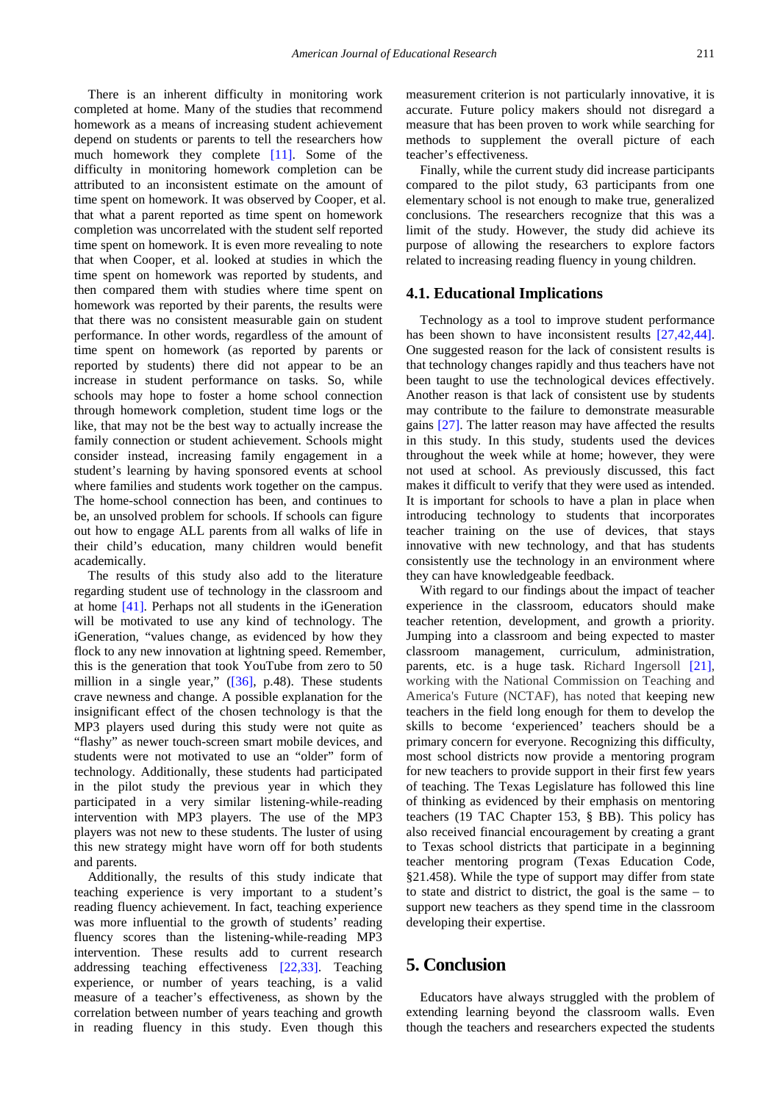There is an inherent difficulty in monitoring work completed at home. Many of the studies that recommend homework as a means of increasing student achievement depend on students or parents to tell the researchers how much homework they complete [\[11\].](#page-5-14) Some of the difficulty in monitoring homework completion can be attributed to an inconsistent estimate on the amount of time spent on homework. It was observed by Cooper, et al. that what a parent reported as time spent on homework completion was uncorrelated with the student self reported time spent on homework. It is even more revealing to note that when Cooper, et al. looked at studies in which the time spent on homework was reported by students, and then compared them with studies where time spent on homework was reported by their parents, the results were that there was no consistent measurable gain on student performance. In other words, regardless of the amount of time spent on homework (as reported by parents or reported by students) there did not appear to be an increase in student performance on tasks. So, while schools may hope to foster a home school connection through homework completion, student time logs or the like, that may not be the best way to actually increase the family connection or student achievement. Schools might consider instead, increasing family engagement in a student's learning by having sponsored events at school where families and students work together on the campus. The home-school connection has been, and continues to be, an unsolved problem for schools. If schools can figure out how to engage ALL parents from all walks of life in their child's education, many children would benefit academically.

The results of this study also add to the literature regarding student use of technology in the classroom and at home [\[41\].](#page-6-8) Perhaps not all students in the iGeneration will be motivated to use any kind of technology. The iGeneration, "values change, as evidenced by how they flock to any new innovation at lightning speed. Remember, this is the generation that took YouTube from zero to 50 million in a single year," [\(\[36\],](#page-6-0) p.48). These students crave newness and change. A possible explanation for the insignificant effect of the chosen technology is that the MP3 players used during this study were not quite as "flashy" as newer touch-screen smart mobile devices, and students were not motivated to use an "older" form of technology. Additionally, these students had participated in the pilot study the previous year in which they participated in a very similar listening-while-reading intervention with MP3 players. The use of the MP3 players was not new to these students. The luster of using this new strategy might have worn off for both students and parents.

Additionally, the results of this study indicate that teaching experience is very important to a student's reading fluency achievement. In fact, teaching experience was more influential to the growth of students' reading fluency scores than the listening-while-reading MP3 intervention. These results add to current research addressing teaching effectiveness [\[22,33\].](#page-5-10) Teaching experience, or number of years teaching, is a valid measure of a teacher's effectiveness, as shown by the correlation between number of years teaching and growth in reading fluency in this study. Even though this

measurement criterion is not particularly innovative, it is accurate. Future policy makers should not disregard a measure that has been proven to work while searching for methods to supplement the overall picture of each teacher's effectiveness.

Finally, while the current study did increase participants compared to the pilot study, 63 participants from one elementary school is not enough to make true, generalized conclusions. The researchers recognize that this was a limit of the study. However, the study did achieve its purpose of allowing the researchers to explore factors related to increasing reading fluency in young children.

#### **4.1. Educational Implications**

Technology as a tool to improve student performance has been shown to have inconsistent results [\[27,42,44\].](#page-5-0) One suggested reason for the lack of consistent results is that technology changes rapidly and thus teachers have not been taught to use the technological devices effectively. Another reason is that lack of consistent use by students may contribute to the failure to demonstrate measurable gains [\[27\].](#page-5-0) The latter reason may have affected the results in this study. In this study, students used the devices throughout the week while at home; however, they were not used at school. As previously discussed, this fact makes it difficult to verify that they were used as intended. It is important for schools to have a plan in place when introducing technology to students that incorporates teacher training on the use of devices, that stays innovative with new technology, and that has students consistently use the technology in an environment where they can have knowledgeable feedback.

With regard to our findings about the impact of teacher experience in the classroom, educators should make teacher retention, development, and growth a priority. Jumping into a classroom and being expected to master classroom management, curriculum, administration, parents, etc. is a huge task. Richard Ingersoll [\[21\],](#page-5-15) working with the National Commission on Teaching and America's Future (NCTAF), has noted that keeping new teachers in the field long enough for them to develop the skills to become 'experienced' teachers should be a primary concern for everyone. Recognizing this difficulty, most school districts now provide a mentoring program for new teachers to provide support in their first few years of teaching. The Texas Legislature has followed this line of thinking as evidenced by their emphasis on mentoring teachers (19 TAC Chapter 153, § BB). This policy has also received financial encouragement by creating a grant to Texas school districts that participate in a beginning teacher mentoring program (Texas Education Code, §21.458). While the type of support may differ from state to state and district to district, the goal is the same – to support new teachers as they spend time in the classroom developing their expertise.

## **5. Conclusion**

Educators have always struggled with the problem of extending learning beyond the classroom walls. Even though the teachers and researchers expected the students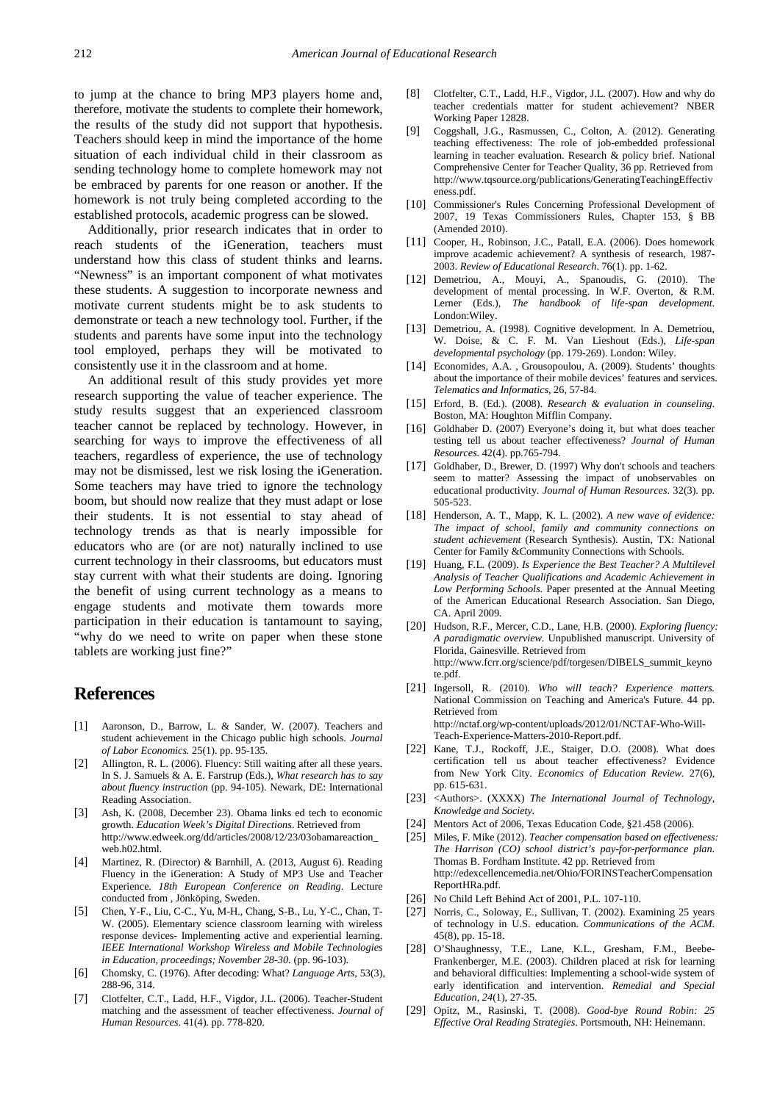to jump at the chance to bring MP3 players home and, therefore, motivate the students to complete their homework, the results of the study did not support that hypothesis. Teachers should keep in mind the importance of the home situation of each individual child in their classroom as sending technology home to complete homework may not be embraced by parents for one reason or another. If the homework is not truly being completed according to the established protocols, academic progress can be slowed.

Additionally, prior research indicates that in order to reach students of the iGeneration, teachers must understand how this class of student thinks and learns. "Newness" is an important component of what motivates these students. A suggestion to incorporate newness and motivate current students might be to ask students to demonstrate or teach a new technology tool. Further, if the students and parents have some input into the technology tool employed, perhaps they will be motivated to consistently use it in the classroom and at home.

An additional result of this study provides yet more research supporting the value of teacher experience. The study results suggest that an experienced classroom teacher cannot be replaced by technology. However, in searching for ways to improve the effectiveness of all teachers, regardless of experience, the use of technology may not be dismissed, lest we risk losing the iGeneration. Some teachers may have tried to ignore the technology boom, but should now realize that they must adapt or lose their students. It is not essential to stay ahead of technology trends as that is nearly impossible for educators who are (or are not) naturally inclined to use current technology in their classrooms, but educators must stay current with what their students are doing. Ignoring the benefit of using current technology as a means to engage students and motivate them towards more participation in their education is tantamount to saying, "why do we need to write on paper when these stone tablets are working just fine?"

## **References**

- <span id="page-5-8"></span>[1] Aaronson, D., Barrow, L. & Sander, W. (2007). Teachers and student achievement in the Chicago public high schools. *Journal of Labor Economics.* 25(1). pp. 95-135.
- <span id="page-5-5"></span>[2] Allington, R. L. (2006). Fluency: Still waiting after all these years. In S. J. Samuels & A. E. Farstrup (Eds.), *What research has to say about fluency instruction* (pp. 94-105). Newark, DE: International Reading Association.
- <span id="page-5-3"></span>[3] Ash, K. (2008, December 23). Obama links ed tech to economic growth. *Education Week's Digital Directions*. Retrieved from http://www.edweek.org/dd/articles/2008/12/23/03obamareaction\_ web.h02.html.
- <span id="page-5-11"></span>[4] Martinez, R. (Director) & Barnhill, A. (2013, August 6). Reading Fluency in the iGeneration: A Study of MP3 Use and Teacher Experience. *18th European Conference on Reading*. Lecture conducted from , Jönköping, Sweden.
- <span id="page-5-2"></span>[5] Chen, Y-F., Liu, C-C., Yu, M-H., Chang, S-B., Lu, Y-C., Chan, T-W. (2005). Elementary science classroom learning with wireless response devices- Implementing active and experiential learning. *IEEE International Workshop Wireless and Mobile Technologies in Education, proceedings; November 28-30.* (pp. 96-103).
- <span id="page-5-13"></span>[6] Chomsky, C. (1976). After decoding: What? *Language Arts*, 53(3), 288-96, 314.
- <span id="page-5-7"></span>[7] Clotfelter, C.T., Ladd, H.F., Vigdor, J.L. (2006). Teacher-Student matching and the assessment of teacher effectiveness. *Journal of Human Resources*. 41(4). pp. 778-820.
- [8] Clotfelter, C.T., Ladd, H.F., Vigdor, J.L. (2007). How and why do teacher credentials matter for student achievement? NBER Working Paper 12828.
- <span id="page-5-9"></span>[9] Coggshall, J.G., Rasmussen, C., Colton, A. (2012). Generating teaching effectiveness: The role of job-embedded professional learning in teacher evaluation. Research & policy brief. National Comprehensive Center for Teacher Quality, 36 pp. Retrieved from http://www.tqsource.org/publications/GeneratingTeachingEffectiv eness.pdf.
- [10] Commissioner's Rules Concerning Professional Development of 2007, 19 Texas Commissioners Rules, Chapter 153, § BB (Amended 2010).
- <span id="page-5-14"></span>[11] Cooper, H., Robinson, J.C., Patall, E.A. (2006). Does homework improve academic achievement? A synthesis of research, 1987- 2003. *Review of Educational Research*. 76(1). pp. 1-62.
- [12] Demetriou, A., Mouyi, A., Spanoudis, G. (2010). The development of mental processing. In W.F. Overton, & R.M. Lerner (Eds.), *The handbook of life-span development*. London:Wiley.
- [13] Demetriou, A. (1998). Cognitive development. In A. Demetriou, W. Doise, & C. F. M. Van Lieshout (Eds.), *Life-span developmental psychology* (pp. 179-269). London: Wiley.
- <span id="page-5-1"></span>[14] Economides, A.A., Grousopoulou, A. (2009). Students' thoughts about the importance of their mobile devices' features and services. *Telematics and Informatics,* 26*,* 57-84.
- <span id="page-5-12"></span>[15] Erford, B. (Ed.). (2008). *Research & evaluation in counseling*. Boston, MA: Houghton Mifflin Company.
- [16] Goldhaber D. (2007) Everyone's doing it, but what does teacher testing tell us about teacher effectiveness? *Journal of Human Resources.* 42(4). pp.765-794.
- [17] Goldhaber, D., Brewer, D. (1997) Why don't schools and teachers seem to matter? Assessing the impact of unobservables on educational productivity. *Journal of Human Resources*. 32(3). pp. 505-523.
- [18] Henderson, A. T., Mapp, K. L. (2002). *A new wave of evidence: The impact of school, family and community connections on student achievement* (Research Synthesis). Austin, TX: National Center for Family &Community Connections with Schools.
- [19] Huang, F.L. (2009). *Is Experience the Best Teacher? A Multilevel Analysis of Teacher Qualifications and Academic Achievement in Low Performing Schools.* Paper presented at the Annual Meeting of the American Educational Research Association. San Diego, CA. April 2009.
- [20] Hudson, R.F., Mercer, C.D., Lane, H.B. (2000). *Exploring fluency: A paradigmatic overview.* Unpublished manuscript. University of Florida, Gainesville. Retrieved from http://www.fcrr.org/science/pdf/torgesen/DIBELS\_summit\_keyno te.pdf.
- <span id="page-5-15"></span>[21] Ingersoll, R. (2010). *Who will teach? Experience matters.* National Commission on Teaching and America's Future. 44 pp. Retrieved from http://nctaf.org/wp-content/uploads/2012/01/NCTAF-Who-Will-Teach-Experience-Matters-2010-Report.pdf.
- <span id="page-5-10"></span>[22] Kane, T.J., Rockoff, J.E., Staiger, D.O. (2008). What does certification tell us about teacher effectiveness? Evidence from New York City. *Economics of Education Review.* 27(6), pp. 615-631.
- [23] <Authors>. (XXXX) *The International Journal of Technology*, *Knowledge and Society.*
- [24] Mentors Act of 2006, Texas Education Code, §21.458 (2006).
- [25] Miles, F. Mike (2012). *Teacher compensation based on effectiveness: The Harrison (CO) school district's pay-for-performance plan*. Thomas B. Fordham Institute. 42 pp. Retrieved from http://edexcellencemedia.net/Ohio/FORINSTeacherCompensation ReportHRa.pdf.
- [26] No Child Left Behind Act of 2001, P.L. 107-110.
- <span id="page-5-0"></span>[27] Norris, C., Soloway, E., Sullivan, T. (2002). Examining 25 years of technology in U.S. education. *Communications of the ACM.*  45(8), pp. 15-18.
- <span id="page-5-4"></span>[28] O'Shaughnessy, T.E., Lane, K.L., Gresham, F.M., Beebe-Frankenberger, M.E. (2003). Children placed at risk for learning and behavioral difficulties: Implementing a school-wide system of early identification and intervention. *Remedial and Special Education, 24*(1), 27-35.
- <span id="page-5-6"></span>[29] Opitz, M., Rasinski, T. (2008). *Good-bye Round Robin: 25 Effective Oral Reading Strategies*. Portsmouth, NH: Heinemann.